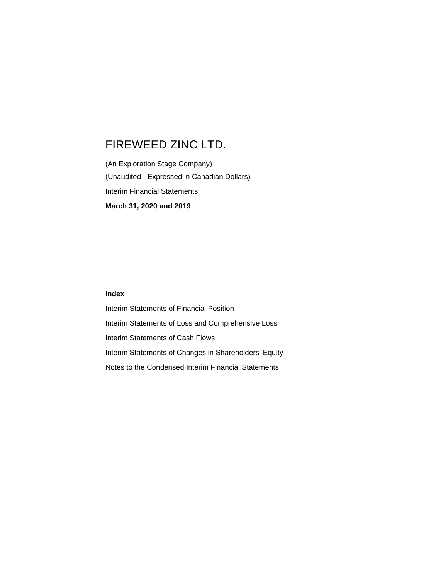(An Exploration Stage Company) (Unaudited - Expressed in Canadian Dollars) Interim Financial Statements **March 31, 2020 and 2019**

# **Index**

Interim Statements of Financial Position Interim Statements of Loss and Comprehensive Loss Interim Statements of Cash Flows Interim Statements of Changes in Shareholders' Equity Notes to the Condensed Interim Financial Statements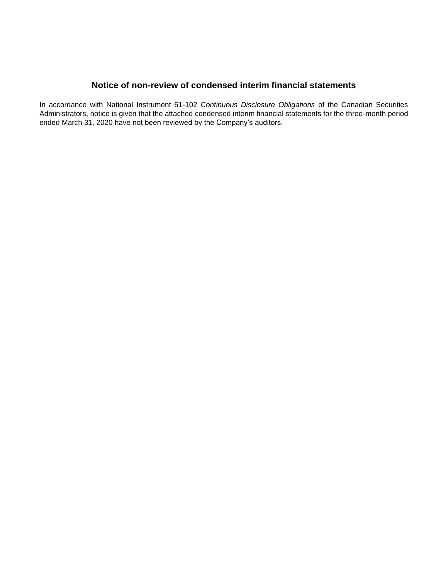In accordance with National Instrument 51-102 *Continuous Disclosure Obligations* of the Canadian Securities Administrators, notice is given that the attached condensed interim financial statements for the three-month period ended March 31, 2020 have not been reviewed by the Company's auditors.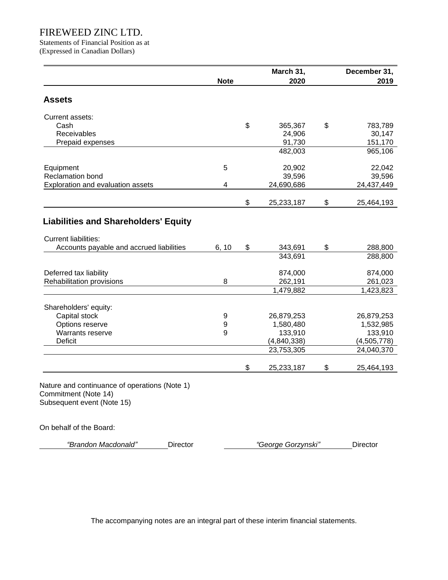Statements of Financial Position as at (Expressed in Canadian Dollars)

|                                               |             | March 31,               | December 31,            |
|-----------------------------------------------|-------------|-------------------------|-------------------------|
|                                               | <b>Note</b> | 2020                    | 2019                    |
| <b>Assets</b>                                 |             |                         |                         |
|                                               |             |                         |                         |
| Current assets:                               |             |                         |                         |
| Cash<br><b>Receivables</b>                    |             | \$<br>365,367<br>24,906 | \$<br>783,789<br>30,147 |
| Prepaid expenses                              |             | 91,730                  | 151,170                 |
|                                               |             | 482,003                 | 965,106                 |
|                                               |             |                         |                         |
| Equipment                                     | 5           | 20,902                  | 22,042                  |
| Reclamation bond                              |             | 39,596                  | 39,596                  |
| Exploration and evaluation assets             | 4           | 24,690,686              | 24,437,449              |
|                                               |             |                         |                         |
|                                               |             | \$<br>25,233,187        | \$<br>25,464,193        |
| <b>Liabilities and Shareholders' Equity</b>   |             |                         |                         |
|                                               |             |                         |                         |
| <b>Current liabilities:</b>                   |             |                         |                         |
| Accounts payable and accrued liabilities      | 6, 10       | \$<br>343,691           | \$<br>288,800           |
|                                               |             | 343,691                 | 288,800                 |
|                                               |             |                         |                         |
| Deferred tax liability                        |             | 874,000                 | 874,000                 |
| Rehabilitation provisions                     | 8           | 262,191<br>1,479,882    | 261,023<br>1,423,823    |
|                                               |             |                         |                         |
| Shareholders' equity:                         |             |                         |                         |
| Capital stock                                 | 9           | 26,879,253              | 26,879,253              |
| Options reserve                               | 9           | 1,580,480               | 1,532,985               |
| Warrants reserve                              | 9           | 133,910                 | 133,910                 |
| Deficit                                       |             | (4,840,338)             | (4,505,778)             |
|                                               |             | 23,753,305              | 24,040,370              |
|                                               |             | \$<br>25,233,187        | \$<br>25,464,193        |
|                                               |             |                         |                         |
| Nature and continuance of operations (Note 1) |             |                         |                         |
| Commitment (Note 14)                          |             |                         |                         |
| Subsequent event (Note 15)                    |             |                         |                         |
|                                               |             |                         |                         |
| ∩n hehalf of the Roard <sup>.</sup>           |             |                         |                         |

On behalf of the Board:

*"Brandon Macdonald"* Director *"George Gorzynski"* Director

The accompanying notes are an integral part of these interim financial statements.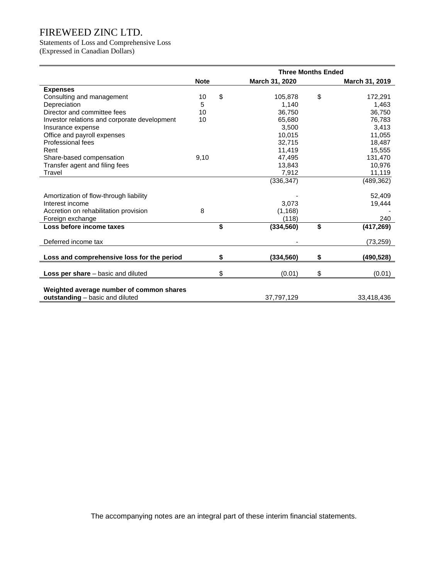Statements of Loss and Comprehensive Loss (Expressed in Canadian Dollars)

|                                              | <b>Three Months Ended</b> |                                      |                |    |                |
|----------------------------------------------|---------------------------|--------------------------------------|----------------|----|----------------|
|                                              | <b>Note</b>               |                                      | March 31, 2020 |    | March 31, 2019 |
| <b>Expenses</b>                              |                           |                                      |                |    |                |
| Consulting and management                    | 10                        | \$                                   | 105,878        | \$ | 172,291        |
| Depreciation                                 | 5                         |                                      | 1,140          |    | 1,463          |
| Director and committee fees                  | 10                        |                                      | 36,750         |    | 36,750         |
| Investor relations and corporate development | 10                        |                                      | 65,680         |    | 76,783         |
| Insurance expense                            |                           |                                      | 3,500          |    | 3,413          |
| Office and payroll expenses                  |                           |                                      | 10,015         |    | 11,055         |
| <b>Professional fees</b>                     |                           |                                      | 32,715         |    | 18,487         |
| Rent                                         |                           |                                      | 11,419         |    | 15,555         |
| Share-based compensation                     | 9,10                      |                                      | 47,495         |    | 131,470        |
| Transfer agent and filing fees               |                           |                                      | 13,843         |    | 10,976         |
| Travel                                       |                           |                                      | 7,912          |    | 11,119         |
|                                              |                           |                                      | (336, 347)     |    | (489, 362)     |
|                                              |                           |                                      |                |    |                |
| Amortization of flow-through liability       |                           |                                      |                |    | 52,409         |
| Interest income                              |                           |                                      | 3.073          |    | 19,444         |
| Accretion on rehabilitation provision        | 8                         |                                      | (1, 168)       |    |                |
| Foreign exchange                             |                           |                                      | (118)          |    | 240            |
| Loss before income taxes                     |                           | $\overline{\boldsymbol{\mathsf{s}}}$ | (334, 560)     | \$ | (417, 269)     |
| Deferred income tax                          |                           |                                      |                |    | (73, 259)      |
|                                              |                           |                                      |                |    |                |
| Loss and comprehensive loss for the period   |                           | \$                                   | (334, 560)     | \$ | (490, 528)     |
| <b>Loss per share</b> $-$ basic and diluted  |                           | \$                                   | (0.01)         | \$ | (0.01)         |
|                                              |                           |                                      |                |    |                |
| Weighted average number of common shares     |                           |                                      |                |    |                |
| outstanding - basic and diluted              |                           |                                      | 37,797,129     |    | 33,418,436     |

The accompanying notes are an integral part of these interim financial statements.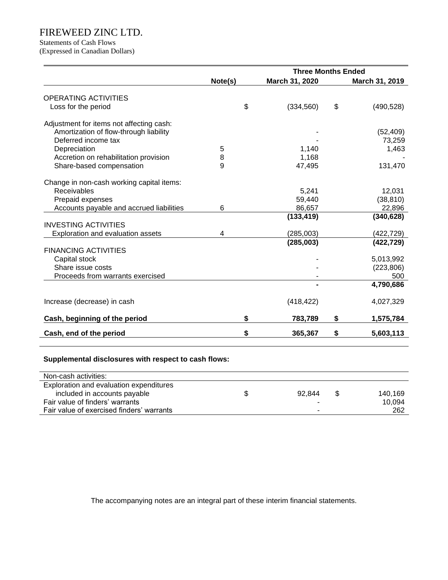Statements of Cash Flows

(Expressed in Canadian Dollars)

|         | <b>Three Months Ended</b> |                                                                             |                         |  |  |
|---------|---------------------------|-----------------------------------------------------------------------------|-------------------------|--|--|
| Note(s) | March 31, 2020            |                                                                             | March 31, 2019          |  |  |
|         |                           |                                                                             |                         |  |  |
| \$      | (334, 560)                | \$                                                                          | (490, 528)              |  |  |
|         |                           |                                                                             |                         |  |  |
|         |                           |                                                                             |                         |  |  |
|         |                           |                                                                             | (52, 409)               |  |  |
|         |                           |                                                                             | 73,259<br>1,463         |  |  |
|         |                           |                                                                             |                         |  |  |
|         |                           |                                                                             | 131,470                 |  |  |
|         |                           |                                                                             |                         |  |  |
|         |                           |                                                                             |                         |  |  |
|         | 5,241                     |                                                                             | 12,031                  |  |  |
|         | 59,440                    |                                                                             | (38, 810)               |  |  |
| 6       | 86,657                    |                                                                             | 22,896                  |  |  |
|         |                           |                                                                             | (340, 628)              |  |  |
|         |                           |                                                                             |                         |  |  |
|         |                           |                                                                             | (422, 729)              |  |  |
|         |                           |                                                                             | (422, 729)              |  |  |
|         |                           |                                                                             |                         |  |  |
|         |                           |                                                                             | 5,013,992<br>(223, 806) |  |  |
|         |                           |                                                                             | 500                     |  |  |
|         |                           |                                                                             | 4,790,686               |  |  |
|         |                           |                                                                             |                         |  |  |
|         | (418, 422)                |                                                                             | 4,027,329               |  |  |
| \$      | 783,789                   | \$                                                                          | 1,575,784               |  |  |
|         |                           |                                                                             | 5,603,113               |  |  |
|         | 5<br>8<br>9<br>4<br>\$    | 1,140<br>1,168<br>47,495<br>(133, 419)<br>(285,003)<br>(285,003)<br>365,367 | \$                      |  |  |

# **Supplemental disclosures with respect to cash flows:**

| Non-cash activities:                      |                          |         |
|-------------------------------------------|--------------------------|---------|
| Exploration and evaluation expenditures   |                          |         |
| included in accounts payable              | 92.844                   | 140.169 |
| Fair value of finders' warrants           | $\overline{\phantom{0}}$ | 10.094  |
| Fair value of exercised finders' warrants | -                        | 262     |

The accompanying notes are an integral part of these interim financial statements.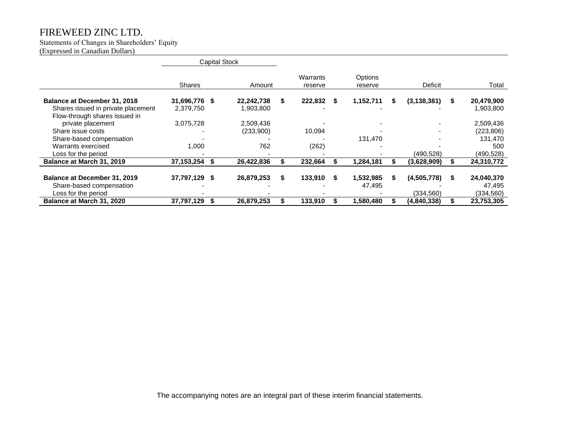#### Statements of Changes in Shareholders' Equity

(Expressed in Canadian Dollars)

|                                     | <b>Capital Stock</b> |  |            |                     |   |                    |   |               |   |            |
|-------------------------------------|----------------------|--|------------|---------------------|---|--------------------|---|---------------|---|------------|
|                                     | <b>Shares</b>        |  | Amount     | Warrants<br>reserve |   | Options<br>reserve |   | Deficit       |   | Total      |
| Balance at December 31, 2018        | 31,696,776 \$        |  | 22,242,738 | 222.832             | S | 1.152.711          | S | (3, 138, 381) | S | 20,479,900 |
| Shares issued in private placement  | 2,379,750            |  | 1,903,800  |                     |   |                    |   |               |   | 1,903,800  |
| Flow-through shares issued in       |                      |  |            |                     |   |                    |   |               |   |            |
| private placement                   | 3,075,728            |  | 2,509,436  |                     |   |                    |   |               |   | 2,509,436  |
| Share issue costs                   |                      |  | (233,900)  | 10.094              |   |                    |   |               |   | (223, 806) |
| Share-based compensation            |                      |  |            |                     |   | 131,470            |   |               |   | 131.470    |
| Warrants exercised                  | 1,000                |  | 762        | (262)               |   |                    |   |               |   | 500        |
| Loss for the period                 |                      |  |            |                     |   |                    |   | (490, 528)    |   | (490, 528) |
| Balance at March 31, 2019           | 37, 153, 254         |  | 26,422,836 | 232,664             |   | 1,284,181          |   | (3,628,909)   |   | 24,310,772 |
|                                     |                      |  |            |                     |   |                    |   |               |   |            |
| <b>Balance at December 31, 2019</b> | 37,797,129 \$        |  | 26,879,253 | 133.910             |   | 1,532,985          | S | (4,505,778)   | S | 24,040,370 |
| Share-based compensation            |                      |  |            |                     |   | 47,495             |   |               |   | 47,495     |
| Loss for the period                 |                      |  |            |                     |   |                    |   | (334, 560)    |   | (334, 560) |
| Balance at March 31, 2020           | 37,797,129           |  | 26,879,253 | 133,910             |   | 580,480,           |   | (4,840,338)   |   | 23,753,305 |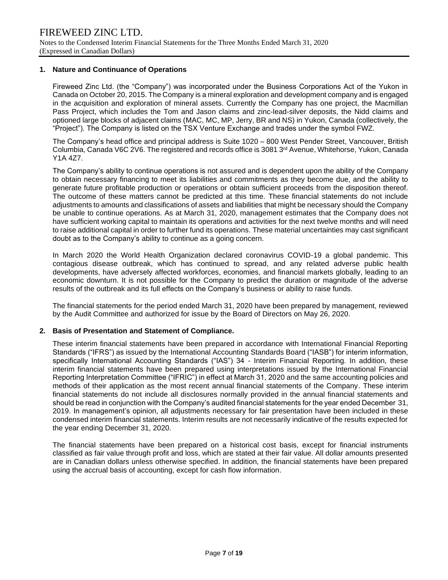# **1. Nature and Continuance of Operations**

Fireweed Zinc Ltd. (the "Company") was incorporated under the Business Corporations Act of the Yukon in Canada on October 20, 2015. The Company is a mineral exploration and development company and is engaged in the acquisition and exploration of mineral assets. Currently the Company has one project, the Macmillan Pass Project, which includes the Tom and Jason claims and zinc-lead-silver deposits, the Nidd claims and optioned large blocks of adjacent claims (MAC, MC, MP, Jerry, BR and NS) in Yukon, Canada (collectively, the "Project"). The Company is listed on the TSX Venture Exchange and trades under the symbol FWZ.

The Company's head office and principal address is Suite 1020 – 800 West Pender Street, Vancouver, British Columbia, Canada V6C 2V6. The registered and records office is 3081 3rd Avenue, Whitehorse, Yukon, Canada Y1A 4Z7.

The Company's ability to continue operations is not assured and is dependent upon the ability of the Company to obtain necessary financing to meet its liabilities and commitments as they become due, and the ability to generate future profitable production or operations or obtain sufficient proceeds from the disposition thereof. The outcome of these matters cannot be predicted at this time. These financial statements do not include adjustments to amounts and classifications of assets and liabilities that might be necessary should the Company be unable to continue operations. As at March 31, 2020, management estimates that the Company does not have sufficient working capital to maintain its operations and activities for the next twelve months and will need to raise additional capital in order to further fund its operations. These material uncertainties may cast significant doubt as to the Company's ability to continue as a going concern.

In March 2020 the World Health Organization declared coronavirus COVID-19 a global pandemic. This contagious disease outbreak, which has continued to spread, and any related adverse public health developments, have adversely affected workforces, economies, and financial markets globally, leading to an economic downturn. It is not possible for the Company to predict the duration or magnitude of the adverse results of the outbreak and its full effects on the Company's business or ability to raise funds.

The financial statements for the period ended March 31, 2020 have been prepared by management, reviewed by the Audit Committee and authorized for issue by the Board of Directors on May 26, 2020.

# **2. Basis of Presentation and Statement of Compliance.**

These interim financial statements have been prepared in accordance with International Financial Reporting Standards ("IFRS") as issued by the International Accounting Standards Board ("IASB") for interim information, specifically International Accounting Standards ("IAS") 34 - Interim Financial Reporting. In addition, these interim financial statements have been prepared using interpretations issued by the International Financial Reporting Interpretation Committee ("IFRIC") in effect at March 31, 2020 and the same accounting policies and methods of their application as the most recent annual financial statements of the Company. These interim financial statements do not include all disclosures normally provided in the annual financial statements and should be read in conjunction with the Company's audited financial statements for the year ended December 31, 2019. In management's opinion, all adjustments necessary for fair presentation have been included in these condensed interim financial statements. Interim results are not necessarily indicative of the results expected for the year ending December 31, 2020.

The financial statements have been prepared on a historical cost basis, except for financial instruments classified as fair value through profit and loss, which are stated at their fair value. All dollar amounts presented are in Canadian dollars unless otherwise specified. In addition, the financial statements have been prepared using the accrual basis of accounting, except for cash flow information.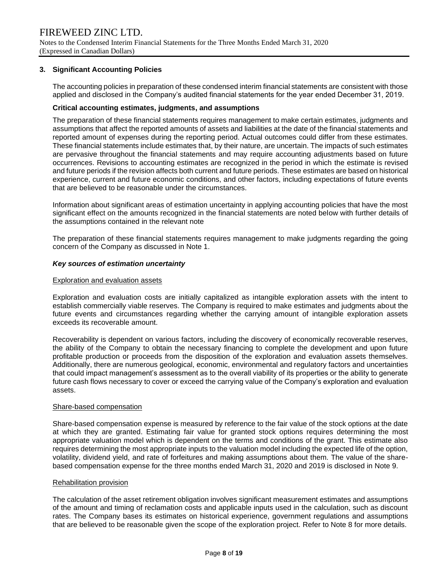## **3. Significant Accounting Policies**

The accounting policies in preparation of these condensed interim financial statements are consistent with those applied and disclosed in the Company's audited financial statements for the year ended December 31, 2019.

#### **Critical accounting estimates, judgments, and assumptions**

The preparation of these financial statements requires management to make certain estimates, judgments and assumptions that affect the reported amounts of assets and liabilities at the date of the financial statements and reported amount of expenses during the reporting period. Actual outcomes could differ from these estimates. These financial statements include estimates that, by their nature, are uncertain. The impacts of such estimates are pervasive throughout the financial statements and may require accounting adjustments based on future occurrences. Revisions to accounting estimates are recognized in the period in which the estimate is revised and future periods if the revision affects both current and future periods. These estimates are based on historical experience, current and future economic conditions, and other factors, including expectations of future events that are believed to be reasonable under the circumstances.

Information about significant areas of estimation uncertainty in applying accounting policies that have the most significant effect on the amounts recognized in the financial statements are noted below with further details of the assumptions contained in the relevant note

The preparation of these financial statements requires management to make judgments regarding the going concern of the Company as discussed in Note 1.

#### *Key sources of estimation uncertainty*

#### Exploration and evaluation assets

Exploration and evaluation costs are initially capitalized as intangible exploration assets with the intent to establish commercially viable reserves. The Company is required to make estimates and judgments about the future events and circumstances regarding whether the carrying amount of intangible exploration assets exceeds its recoverable amount.

Recoverability is dependent on various factors, including the discovery of economically recoverable reserves, the ability of the Company to obtain the necessary financing to complete the development and upon future profitable production or proceeds from the disposition of the exploration and evaluation assets themselves. Additionally, there are numerous geological, economic, environmental and regulatory factors and uncertainties that could impact management's assessment as to the overall viability of its properties or the ability to generate future cash flows necessary to cover or exceed the carrying value of the Company's exploration and evaluation assets.

#### Share-based compensation

Share-based compensation expense is measured by reference to the fair value of the stock options at the date at which they are granted. Estimating fair value for granted stock options requires determining the most appropriate valuation model which is dependent on the terms and conditions of the grant. This estimate also requires determining the most appropriate inputs to the valuation model including the expected life of the option, volatility, dividend yield, and rate of forfeitures and making assumptions about them. The value of the sharebased compensation expense for the three months ended March 31, 2020 and 2019 is disclosed in Note 9.

#### Rehabilitation provision

The calculation of the asset retirement obligation involves significant measurement estimates and assumptions of the amount and timing of reclamation costs and applicable inputs used in the calculation, such as discount rates. The Company bases its estimates on historical experience, government regulations and assumptions that are believed to be reasonable given the scope of the exploration project. Refer to Note 8 for more details.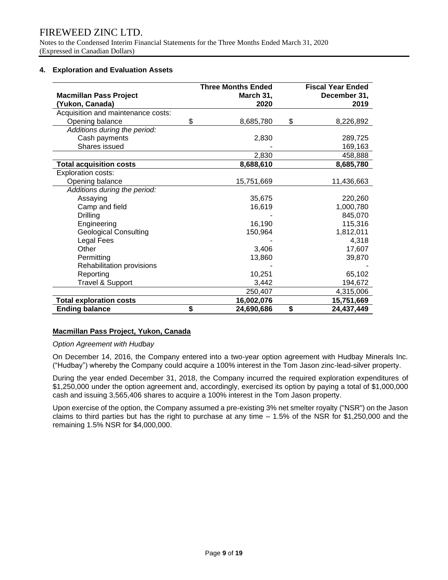Notes to the Condensed Interim Financial Statements for the Three Months Ended March 31, 2020 (Expressed in Canadian Dollars)

# **4. Exploration and Evaluation Assets**

|                                    | <b>Three Months Ended</b> | <b>Fiscal Year Ended</b> |
|------------------------------------|---------------------------|--------------------------|
| <b>Macmillan Pass Project</b>      | March 31,                 | December 31,             |
| (Yukon, Canada)                    | 2020                      | 2019                     |
| Acquisition and maintenance costs: |                           |                          |
| Opening balance                    | \$<br>8,685,780           | \$<br>8,226,892          |
| Additions during the period:       |                           |                          |
| Cash payments                      | 2,830                     | 289,725                  |
| Shares issued                      |                           | 169,163                  |
|                                    | 2,830                     | 458,888                  |
| <b>Total acquisition costs</b>     | 8,688,610                 | 8,685,780                |
| <b>Exploration costs:</b>          |                           |                          |
| Opening balance                    | 15,751,669                | 11,436,663               |
| Additions during the period:       |                           |                          |
| Assaying                           | 35,675                    | 220,260                  |
| Camp and field                     | 16,619                    | 1,000,780                |
| <b>Drilling</b>                    |                           | 845,070                  |
| Engineering                        | 16,190                    | 115,316                  |
| <b>Geological Consulting</b>       | 150,964                   | 1,812,011                |
| Legal Fees                         |                           | 4,318                    |
| Other                              | 3,406                     | 17,607                   |
| Permitting                         | 13,860                    | 39,870                   |
| Rehabilitation provisions          |                           |                          |
| Reporting                          | 10,251                    | 65,102                   |
| Travel & Support                   | 3,442                     | 194,672                  |
|                                    | 250,407                   | 4,315,006                |
| <b>Total exploration costs</b>     | 16,002,076                | 15,751,669               |
| <b>Ending balance</b>              | \$<br>24,690,686          | \$<br>24,437,449         |

# **Macmillan Pass Project, Yukon, Canada**

# *Option Agreement with Hudbay*

On December 14, 2016, the Company entered into a two-year option agreement with Hudbay Minerals Inc. ("Hudbay") whereby the Company could acquire a 100% interest in the Tom Jason zinc-lead-silver property.

During the year ended December 31, 2018, the Company incurred the required exploration expenditures of \$1,250,000 under the option agreement and, accordingly, exercised its option by paying a total of \$1,000,000 cash and issuing 3,565,406 shares to acquire a 100% interest in the Tom Jason property.

Upon exercise of the option, the Company assumed a pre-existing 3% net smelter royalty ("NSR") on the Jason claims to third parties but has the right to purchase at any time – 1.5% of the NSR for \$1,250,000 and the remaining 1.5% NSR for \$4,000,000.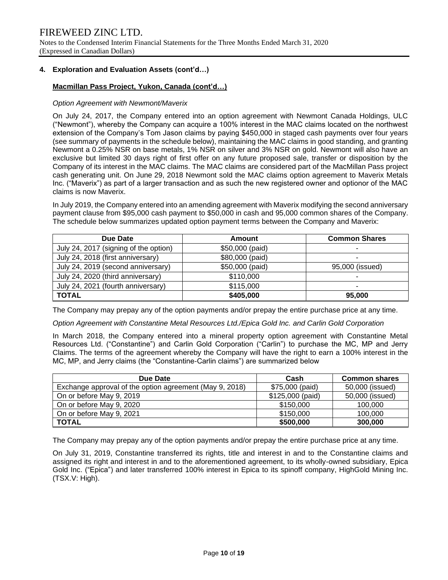Notes to the Condensed Interim Financial Statements for the Three Months Ended March 31, 2020 (Expressed in Canadian Dollars)

# **4. Exploration and Evaluation Assets (cont'd…)**

# **Macmillan Pass Project, Yukon, Canada (cont'd…)**

# *Option Agreement with Newmont/Maverix*

On July 24, 2017, the Company entered into an option agreement with Newmont Canada Holdings, ULC ("Newmont"), whereby the Company can acquire a 100% interest in the MAC claims located on the northwest extension of the Company's Tom Jason claims by paying \$450,000 in staged cash payments over four years (see summary of payments in the schedule below), maintaining the MAC claims in good standing, and granting Newmont a 0.25% NSR on base metals, 1% NSR on silver and 3% NSR on gold. Newmont will also have an exclusive but limited 30 days right of first offer on any future proposed sale, transfer or disposition by the Company of its interest in the MAC claims. The MAC claims are considered part of the MacMillan Pass project cash generating unit. On June 29, 2018 Newmont sold the MAC claims option agreement to Maverix Metals Inc. ("Maverix") as part of a larger transaction and as such the new registered owner and optionor of the MAC claims is now Maverix.

In July 2019, the Company entered into an amending agreement with Maverix modifying the second anniversary payment clause from \$95,000 cash payment to \$50,000 in cash and 95,000 common shares of the Company. The schedule below summarizes updated option payment terms between the Company and Maverix:

| Due Date                              | Amount          | <b>Common Shares</b> |
|---------------------------------------|-----------------|----------------------|
| July 24, 2017 (signing of the option) | \$50,000 (paid) |                      |
| July 24, 2018 (first anniversary)     | \$80,000 (paid) |                      |
| July 24, 2019 (second anniversary)    | \$50,000 (paid) | 95,000 (issued)      |
| July 24, 2020 (third anniversary)     | \$110,000       |                      |
| July 24, 2021 (fourth anniversary)    | \$115,000       |                      |
| <b>TOTAL</b>                          | \$405,000       | 95,000               |

The Company may prepay any of the option payments and/or prepay the entire purchase price at any time.

*Option Agreement with Constantine Metal Resources Ltd./Epica Gold Inc. and Carlin Gold Corporation* 

In March 2018, the Company entered into a mineral property option agreement with Constantine Metal Resources Ltd. ("Constantine") and Carlin Gold Corporation ("Carlin") to purchase the MC, MP and Jerry Claims. The terms of the agreement whereby the Company will have the right to earn a 100% interest in the MC, MP, and Jerry claims (the "Constantine-Carlin claims") are summarized below

| Due Date                                                | Cash             | <b>Common shares</b> |
|---------------------------------------------------------|------------------|----------------------|
| Exchange approval of the option agreement (May 9, 2018) | \$75,000 (paid)  | 50,000 (issued)      |
| On or before May 9, 2019                                | \$125,000 (paid) | 50,000 (issued)      |
| On or before May 9, 2020                                | \$150,000        | 100,000              |
| On or before May 9, 2021                                | \$150,000        | 100,000              |
| <b>TOTAL</b>                                            | \$500,000        | 300,000              |

The Company may prepay any of the option payments and/or prepay the entire purchase price at any time.

On July 31, 2019, Constantine transferred its rights, title and interest in and to the Constantine claims and assigned its right and interest in and to the aforementioned agreement, to its wholly-owned subsidiary, Epica Gold Inc. ("Epica") and later transferred 100% interest in Epica to its spinoff company, HighGold Mining Inc. (TSX.V: High).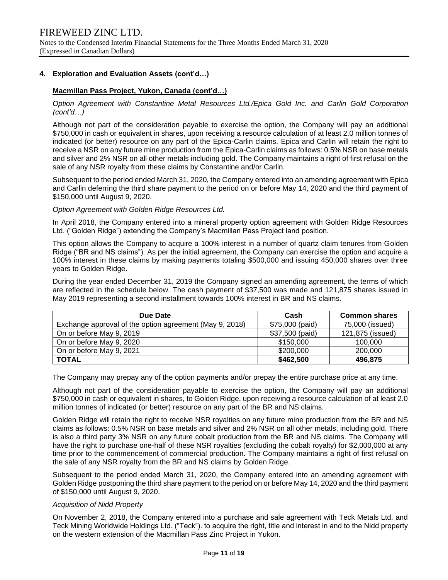# **4. Exploration and Evaluation Assets (cont'd…)**

# **Macmillan Pass Project, Yukon, Canada (cont'd…)**

*Option Agreement with Constantine Metal Resources Ltd./Epica Gold Inc. and Carlin Gold Corporation (cont'd…)*

Although not part of the consideration payable to exercise the option, the Company will pay an additional \$750,000 in cash or equivalent in shares, upon receiving a resource calculation of at least 2.0 million tonnes of indicated (or better) resource on any part of the Epica-Carlin claims. Epica and Carlin will retain the right to receive a NSR on any future mine production from the Epica-Carlin claims as follows: 0.5% NSR on base metals and silver and 2% NSR on all other metals including gold. The Company maintains a right of first refusal on the sale of any NSR royalty from these claims by Constantine and/or Carlin.

Subsequent to the period ended March 31, 2020, the Company entered into an amending agreement with Epica and Carlin deferring the third share payment to the period on or before May 14, 2020 and the third payment of \$150,000 until August 9, 2020.

#### *Option Agreement with Golden Ridge Resources Ltd.*

In April 2018, the Company entered into a mineral property option agreement with Golden Ridge Resources Ltd. ("Golden Ridge") extending the Company's Macmillan Pass Project land position.

This option allows the Company to acquire a 100% interest in a number of quartz claim tenures from Golden Ridge ("BR and NS claims"). As per the initial agreement, the Company can exercise the option and acquire a 100% interest in these claims by making payments totaling \$500,000 and issuing 450,000 shares over three years to Golden Ridge.

During the year ended December 31, 2019 the Company signed an amending agreement, the terms of which are reflected in the schedule below. The cash payment of \$37,500 was made and 121,875 shares issued in May 2019 representing a second installment towards 100% interest in BR and NS claims.

| Due Date                                                | Cash            | <b>Common shares</b> |
|---------------------------------------------------------|-----------------|----------------------|
| Exchange approval of the option agreement (May 9, 2018) | \$75,000 (paid) | 75,000 (issued)      |
| On or before May 9, 2019                                | \$37,500 (paid) | 121,875 (issued)     |
| On or before May 9, 2020                                | \$150,000       | 100.000              |
| On or before May 9, 2021                                | \$200,000       | 200,000              |
| <b>TOTAL</b>                                            | \$462,500       | 496,875              |

The Company may prepay any of the option payments and/or prepay the entire purchase price at any time.

Although not part of the consideration payable to exercise the option, the Company will pay an additional \$750,000 in cash or equivalent in shares, to Golden Ridge, upon receiving a resource calculation of at least 2.0 million tonnes of indicated (or better) resource on any part of the BR and NS claims.

Golden Ridge will retain the right to receive NSR royalties on any future mine production from the BR and NS claims as follows: 0.5% NSR on base metals and silver and 2% NSR on all other metals, including gold. There is also a third party 3% NSR on any future cobalt production from the BR and NS claims. The Company will have the right to purchase one-half of these NSR royalties (excluding the cobalt royalty) for \$2,000,000 at any time prior to the commencement of commercial production. The Company maintains a right of first refusal on the sale of any NSR royalty from the BR and NS claims by Golden Ridge.

Subsequent to the period ended March 31, 2020, the Company entered into an amending agreement with Golden Ridge postponing the third share payment to the period on or before May 14, 2020 and the third payment of \$150,000 until August 9, 2020.

# *Acquisition of Nidd Property*

On November 2, 2018, the Company entered into a purchase and sale agreement with Teck Metals Ltd. and Teck Mining Worldwide Holdings Ltd. ("Teck"). to acquire the right, title and interest in and to the Nidd property on the western extension of the Macmillan Pass Zinc Project in Yukon.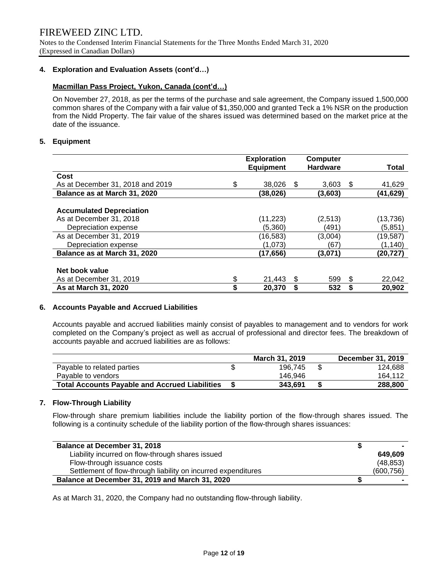Notes to the Condensed Interim Financial Statements for the Three Months Ended March 31, 2020 (Expressed in Canadian Dollars)

# **4. Exploration and Evaluation Assets (cont'd…)**

# **Macmillan Pass Project, Yukon, Canada (cont'd…)**

On November 27, 2018, as per the terms of the purchase and sale agreement, the Company issued 1,500,000 common shares of the Company with a fair value of \$1,350,000 and granted Teck a 1% NSR on the production from the Nidd Property. The fair value of the shares issued was determined based on the market price at the date of the issuance.

# **5. Equipment**

|                                  | <b>Exploration</b> |     | <b>Computer</b> |     |              |
|----------------------------------|--------------------|-----|-----------------|-----|--------------|
|                                  | <b>Equipment</b>   |     | <b>Hardware</b> |     | <b>Total</b> |
| Cost                             |                    |     |                 |     |              |
| As at December 31, 2018 and 2019 | \$<br>38,026       | \$. | 3,603           | -S  | 41,629       |
| Balance as at March 31, 2020     | (38,026)           |     | (3,603)         |     | (41,629)     |
|                                  |                    |     |                 |     |              |
| <b>Accumulated Depreciation</b>  |                    |     |                 |     |              |
| As at December 31, 2018          | (11,223)           |     | (2,513)         |     | (13,736)     |
| Depreciation expense             | (5,360)            |     | (491)           |     | (5,851)      |
| As at December 31, 2019          | (16, 583)          |     | (3,004)         |     | (19, 587)    |
| Depreciation expense             | (1.073)            |     | (67             |     | (1, 140)     |
| Balance as at March 31, 2020     | (17,656)           |     | (3,071)         |     | (20,727)     |
|                                  |                    |     |                 |     |              |
| Net book value                   |                    |     |                 |     |              |
| As at December 31, 2019          | \$<br>21,443       | \$. | 599             | \$. | 22,042       |
| As at March 31, 2020             | \$<br>20,370       | S   | 532             |     | 20,902       |

# **6. Accounts Payable and Accrued Liabilities**

Accounts payable and accrued liabilities mainly consist of payables to management and to vendors for work completed on the Company's project as well as accrual of professional and director fees. The breakdown of accounts payable and accrued liabilities are as follows:

|                                                       | March 31, 2019 | December 31, 2019 |
|-------------------------------------------------------|----------------|-------------------|
| Payable to related parties                            | 196.745        | 124.688           |
| Pavable to vendors                                    | 146.946        | 164.112           |
| <b>Total Accounts Payable and Accrued Liabilities</b> | 343.691        | 288,800           |

# **7. Flow-Through Liability**

Flow-through share premium liabilities include the liability portion of the flow-through shares issued. The following is a continuity schedule of the liability portion of the flow-through shares issuances:

| <b>Balance at December 31, 2018</b>                           |            |
|---------------------------------------------------------------|------------|
| Liability incurred on flow-through shares issued              | 649.609    |
| Flow-through issuance costs                                   | (48, 853)  |
| Settlement of flow-through liability on incurred expenditures | (600, 756) |
| Balance at December 31, 2019 and March 31, 2020               |            |

As at March 31, 2020, the Company had no outstanding flow-through liability.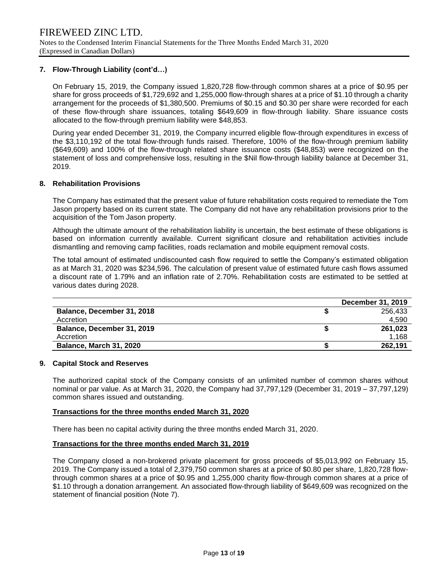# **7. Flow-Through Liability (cont'd…)**

On February 15, 2019, the Company issued 1,820,728 flow-through common shares at a price of \$0.95 per share for gross proceeds of \$1,729,692 and 1,255,000 flow-through shares at a price of \$1.10 through a charity arrangement for the proceeds of \$1,380,500. Premiums of \$0.15 and \$0.30 per share were recorded for each of these flow-through share issuances, totaling \$649,609 in flow-through liability. Share issuance costs allocated to the flow-through premium liability were \$48,853.

During year ended December 31, 2019, the Company incurred eligible flow-through expenditures in excess of the \$3,110,192 of the total flow-through funds raised. Therefore, 100% of the flow-through premium liability (\$649,609) and 100% of the flow-through related share issuance costs (\$48,853) were recognized on the statement of loss and comprehensive loss, resulting in the \$Nil flow-through liability balance at December 31, 2019.

#### **8. Rehabilitation Provisions**

The Company has estimated that the present value of future rehabilitation costs required to remediate the Tom Jason property based on its current state. The Company did not have any rehabilitation provisions prior to the acquisition of the Tom Jason property.

Although the ultimate amount of the rehabilitation liability is uncertain, the best estimate of these obligations is based on information currently available. Current significant closure and rehabilitation activities include dismantling and removing camp facilities, roads reclamation and mobile equipment removal costs.

The total amount of estimated undiscounted cash flow required to settle the Company's estimated obligation as at March 31, 2020 was \$234,596. The calculation of present value of estimated future cash flows assumed a discount rate of 1.79% and an inflation rate of 2.70%. Rehabilitation costs are estimated to be settled at various dates during 2028.

|                            | December 31, 2019 |
|----------------------------|-------------------|
| Balance, December 31, 2018 | 256.433           |
| Accretion                  | 4,590             |
| Balance, December 31, 2019 | 261.023           |
| Accretion                  | 1.168             |
| Balance, March 31, 2020    | 262.191           |

#### **9. Capital Stock and Reserves**

The authorized capital stock of the Company consists of an unlimited number of common shares without nominal or par value. As at March 31, 2020, the Company had 37,797,129 (December 31, 2019 – 37,797,129) common shares issued and outstanding.

#### **Transactions for the three months ended March 31, 2020**

There has been no capital activity during the three months ended March 31, 2020.

#### **Transactions for the three months ended March 31, 2019**

The Company closed a non-brokered private placement for gross proceeds of \$5,013,992 on February 15, 2019. The Company issued a total of 2,379,750 common shares at a price of \$0.80 per share, 1,820,728 flowthrough common shares at a price of \$0.95 and 1,255,000 charity flow-through common shares at a price of \$1.10 through a donation arrangement. An associated flow-through liability of \$649,609 was recognized on the statement of financial position (Note 7).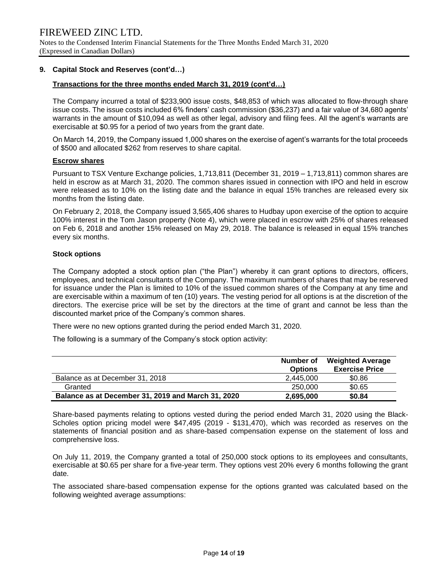#### **9. Capital Stock and Reserves (cont'd…)**

#### **Transactions for the three months ended March 31, 2019 (cont'd…)**

The Company incurred a total of \$233,900 issue costs, \$48,853 of which was allocated to flow-through share issue costs. The issue costs included 6% finders' cash commission (\$36,237) and a fair value of 34,680 agents' warrants in the amount of \$10,094 as well as other legal, advisory and filing fees. All the agent's warrants are exercisable at \$0.95 for a period of two years from the grant date.

On March 14, 2019, the Company issued 1,000 shares on the exercise of agent's warrants for the total proceeds of \$500 and allocated \$262 from reserves to share capital.

#### **Escrow shares**

Pursuant to TSX Venture Exchange policies, 1,713,811 (December 31, 2019 – 1,713,811) common shares are held in escrow as at March 31, 2020. The common shares issued in connection with IPO and held in escrow were released as to 10% on the listing date and the balance in equal 15% tranches are released every six months from the listing date.

On February 2, 2018, the Company issued 3,565,406 shares to Hudbay upon exercise of the option to acquire 100% interest in the Tom Jason property (Note 4), which were placed in escrow with 25% of shares released on Feb 6, 2018 and another 15% released on May 29, 2018. The balance is released in equal 15% tranches every six months.

#### **Stock options**

The Company adopted a stock option plan ("the Plan") whereby it can grant options to directors, officers, employees, and technical consultants of the Company. The maximum numbers of shares that may be reserved for issuance under the Plan is limited to 10% of the issued common shares of the Company at any time and are exercisable within a maximum of ten (10) years. The vesting period for all options is at the discretion of the directors. The exercise price will be set by the directors at the time of grant and cannot be less than the discounted market price of the Company's common shares.

There were no new options granted during the period ended March 31, 2020.

The following is a summary of the Company's stock option activity:

|                                                    | Number of<br><b>Options</b> | <b>Weighted Average</b><br><b>Exercise Price</b> |
|----------------------------------------------------|-----------------------------|--------------------------------------------------|
| Balance as at December 31, 2018                    | 2.445.000                   | \$0.86                                           |
| Granted                                            | 250,000                     | \$0.65                                           |
| Balance as at December 31, 2019 and March 31, 2020 | 2,695,000                   | \$0.84                                           |

Share-based payments relating to options vested during the period ended March 31, 2020 using the Black-Scholes option pricing model were \$47,495 (2019 - \$131,470), which was recorded as reserves on the statements of financial position and as share-based compensation expense on the statement of loss and comprehensive loss.

On July 11, 2019, the Company granted a total of 250,000 stock options to its employees and consultants, exercisable at \$0.65 per share for a five-year term. They options vest 20% every 6 months following the grant date.

The associated share-based compensation expense for the options granted was calculated based on the following weighted average assumptions: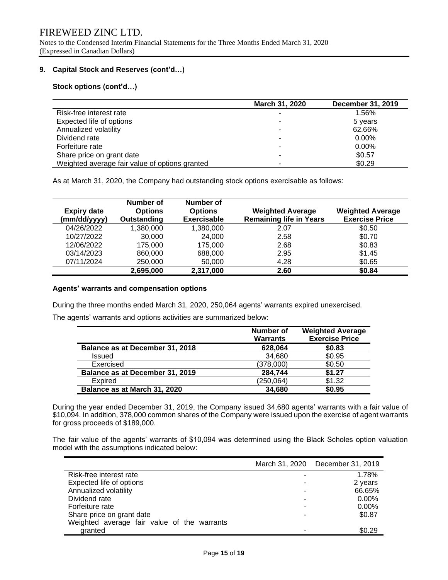Notes to the Condensed Interim Financial Statements for the Three Months Ended March 31, 2020 (Expressed in Canadian Dollars)

# **9. Capital Stock and Reserves (cont'd…)**

**Stock options (cont'd…)**

|                                                | March 31, 2020 | December 31, 2019 |
|------------------------------------------------|----------------|-------------------|
| Risk-free interest rate                        |                | 1.56%             |
| Expected life of options                       |                | 5 years           |
| Annualized volatility                          |                | 62.66%            |
| Dividend rate                                  |                | $0.00\%$          |
| Forfeiture rate                                |                | $0.00\%$          |
| Share price on grant date                      |                | \$0.57            |
| Weighted average fair value of options granted |                | \$0.29            |

As at March 31, 2020, the Company had outstanding stock options exercisable as follows:

| <b>Expiry date</b><br>(mm/dd/yyyy) | Number of<br><b>Options</b><br>Outstanding | Number of<br><b>Options</b><br><b>Exercisable</b> | <b>Weighted Average</b><br><b>Remaining life in Years</b> | <b>Weighted Average</b><br><b>Exercise Price</b> |
|------------------------------------|--------------------------------------------|---------------------------------------------------|-----------------------------------------------------------|--------------------------------------------------|
| 04/26/2022                         | 1,380,000                                  | 1,380,000                                         | 2.07                                                      | \$0.50                                           |
| 10/27/2022                         | 30,000                                     | 24,000                                            | 2.58                                                      | \$0.70                                           |
| 12/06/2022                         | 175,000                                    | 175,000                                           | 2.68                                                      | \$0.83                                           |
| 03/14/2023                         | 860,000                                    | 688,000                                           | 2.95                                                      | \$1.45                                           |
| 07/11/2024                         | 250,000                                    | 50,000                                            | 4.28                                                      | \$0.65                                           |
|                                    | 2,695,000                                  | 2,317,000                                         | 2.60                                                      | \$0.84                                           |

#### **Agents' warrants and compensation options**

During the three months ended March 31, 2020, 250,064 agents' warrants expired unexercised.

The agents' warrants and options activities are summarized below:

|                                 | Number of<br><b>Warrants</b> | <b>Weighted Average</b><br><b>Exercise Price</b> |
|---------------------------------|------------------------------|--------------------------------------------------|
| Balance as at December 31, 2018 | 628,064                      | \$0.83                                           |
| Issued                          | 34,680                       | \$0.95                                           |
| Exercised                       | (378,000)                    | \$0.50                                           |
| Balance as at December 31, 2019 | 284,744                      | \$1.27                                           |
| Expired                         | (250, 064)                   | \$1.32                                           |
| Balance as at March 31, 2020    | 34,680                       | \$0.95                                           |

During the year ended December 31, 2019, the Company issued 34,680 agents' warrants with a fair value of \$10,094. In addition, 378,000 common shares of the Company were issued upon the exercise of agent warrants for gross proceeds of \$189,000.

The fair value of the agents' warrants of \$10,094 was determined using the Black Scholes option valuation model with the assumptions indicated below:

|                                             |   | March 31, 2020 December 31, 2019 |
|---------------------------------------------|---|----------------------------------|
| Risk-free interest rate                     |   | 1.78%                            |
| Expected life of options                    | ۰ | 2 years                          |
| Annualized volatility                       | ٠ | 66.65%                           |
| Dividend rate                               | ٠ | $0.00\%$                         |
| Forfeiture rate                             | - | $0.00\%$                         |
| Share price on grant date                   | ۰ | \$0.87                           |
| Weighted average fair value of the warrants |   |                                  |
| granted                                     |   | \$0.29                           |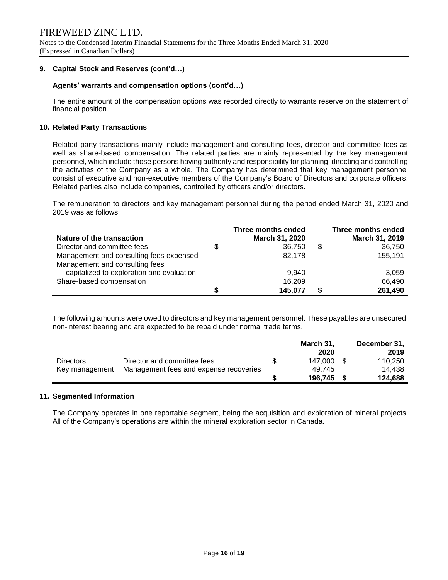# **9. Capital Stock and Reserves (cont'd…)**

#### **Agents' warrants and compensation options (cont'd…)**

The entire amount of the compensation options was recorded directly to warrants reserve on the statement of financial position.

#### **10. Related Party Transactions**

Related party transactions mainly include management and consulting fees, director and committee fees as well as share-based compensation. The related parties are mainly represented by the key management personnel, which include those persons having authority and responsibility for planning, directing and controlling the activities of the Company as a whole. The Company has determined that key management personnel consist of executive and non-executive members of the Company's Board of Directors and corporate officers. Related parties also include companies, controlled by officers and/or directors.

The remuneration to directors and key management personnel during the period ended March 31, 2020 and 2019 was as follows:

|                                           | Three months ended | Three months ended |
|-------------------------------------------|--------------------|--------------------|
| Nature of the transaction                 | March 31, 2020     | March 31, 2019     |
| Director and committee fees               | 36,750             | \$<br>36,750       |
| Management and consulting fees expensed   | 82,178             | 155,191            |
| Management and consulting fees            |                    |                    |
| capitalized to exploration and evaluation | 9.940              | 3,059              |
| Share-based compensation                  | 16,209             | 66,490             |
|                                           | 145,077            | 261,490            |

The following amounts were owed to directors and key management personnel. These payables are unsecured, non-interest bearing and are expected to be repaid under normal trade terms.

|                  |                                        | March 31, | December 31, |
|------------------|----------------------------------------|-----------|--------------|
|                  |                                        | 2020      | 2019         |
| <b>Directors</b> | Director and committee fees            | 147.000   | 110.250      |
| Key management   | Management fees and expense recoveries | 49.745    | 14.438       |
|                  |                                        | 196.745   | 124.688      |

#### **11. Segmented Information**

The Company operates in one reportable segment, being the acquisition and exploration of mineral projects. All of the Company's operations are within the mineral exploration sector in Canada.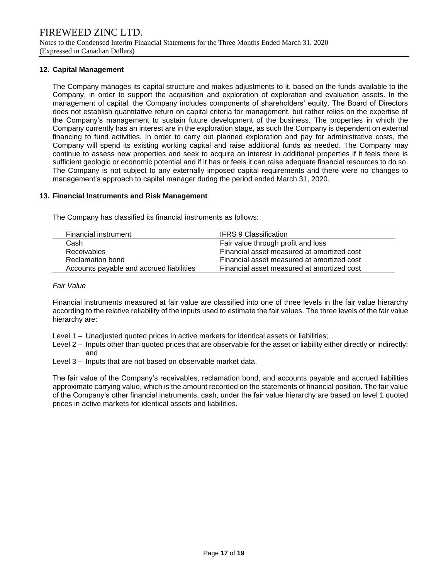# **12. Capital Management**

The Company manages its capital structure and makes adjustments to it, based on the funds available to the Company, in order to support the acquisition and exploration of exploration and evaluation assets. In the management of capital, the Company includes components of shareholders' equity. The Board of Directors does not establish quantitative return on capital criteria for management, but rather relies on the expertise of the Company's management to sustain future development of the business. The properties in which the Company currently has an interest are in the exploration stage, as such the Company is dependent on external financing to fund activities. In order to carry out planned exploration and pay for administrative costs, the Company will spend its existing working capital and raise additional funds as needed. The Company may continue to assess new properties and seek to acquire an interest in additional properties if it feels there is sufficient geologic or economic potential and if it has or feels it can raise adequate financial resources to do so. The Company is not subject to any externally imposed capital requirements and there were no changes to management's approach to capital manager during the period ended March 31, 2020.

# **13. Financial Instruments and Risk Management**

The Company has classified its financial instruments as follows:

| Financial instrument                     | <b>IFRS 9 Classification</b>               |
|------------------------------------------|--------------------------------------------|
| Cash                                     | Fair value through profit and loss         |
| <b>Receivables</b>                       | Financial asset measured at amortized cost |
| Reclamation bond                         | Financial asset measured at amortized cost |
| Accounts payable and accrued liabilities | Financial asset measured at amortized cost |

#### *Fair Value*

Financial instruments measured at fair value are classified into one of three levels in the fair value hierarchy according to the relative reliability of the inputs used to estimate the fair values. The three levels of the fair value hierarchy are:

- Level 1 Unadjusted quoted prices in active markets for identical assets or liabilities;
- Level 2 Inputs other than quoted prices that are observable for the asset or liability either directly or indirectly; and
- Level 3 Inputs that are not based on observable market data.

The fair value of the Company's receivables, reclamation bond, and accounts payable and accrued liabilities approximate carrying value, which is the amount recorded on the statements of financial position. The fair value of the Company's other financial instruments, cash, under the fair value hierarchy are based on level 1 quoted prices in active markets for identical assets and liabilities.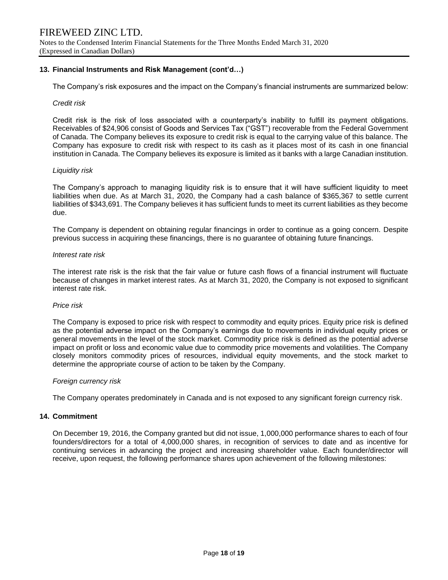# **13. Financial Instruments and Risk Management (cont'd…)**

The Company's risk exposures and the impact on the Company's financial instruments are summarized below:

#### *Credit risk*

Credit risk is the risk of loss associated with a counterparty's inability to fulfill its payment obligations. Receivables of \$24,906 consist of Goods and Services Tax ("GST") recoverable from the Federal Government of Canada. The Company believes its exposure to credit risk is equal to the carrying value of this balance. The Company has exposure to credit risk with respect to its cash as it places most of its cash in one financial institution in Canada. The Company believes its exposure is limited as it banks with a large Canadian institution.

#### *Liquidity risk*

The Company's approach to managing liquidity risk is to ensure that it will have sufficient liquidity to meet liabilities when due. As at March 31, 2020, the Company had a cash balance of \$365,367 to settle current liabilities of \$343,691. The Company believes it has sufficient funds to meet its current liabilities as they become due.

The Company is dependent on obtaining regular financings in order to continue as a going concern. Despite previous success in acquiring these financings, there is no guarantee of obtaining future financings.

#### *Interest rate risk*

The interest rate risk is the risk that the fair value or future cash flows of a financial instrument will fluctuate because of changes in market interest rates. As at March 31, 2020, the Company is not exposed to significant interest rate risk.

#### *Price risk*

The Company is exposed to price risk with respect to commodity and equity prices. Equity price risk is defined as the potential adverse impact on the Company's earnings due to movements in individual equity prices or general movements in the level of the stock market. Commodity price risk is defined as the potential adverse impact on profit or loss and economic value due to commodity price movements and volatilities. The Company closely monitors commodity prices of resources, individual equity movements, and the stock market to determine the appropriate course of action to be taken by the Company.

#### *Foreign currency risk*

The Company operates predominately in Canada and is not exposed to any significant foreign currency risk.

#### **14. Commitment**

On December 19, 2016, the Company granted but did not issue, 1,000,000 performance shares to each of four founders/directors for a total of 4,000,000 shares, in recognition of services to date and as incentive for continuing services in advancing the project and increasing shareholder value. Each founder/director will receive, upon request, the following performance shares upon achievement of the following milestones: